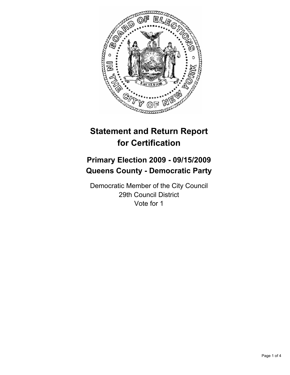

# **Statement and Return Report for Certification**

## **Primary Election 2009 - 09/15/2009 Queens County - Democratic Party**

Democratic Member of the City Council 29th Council District Vote for 1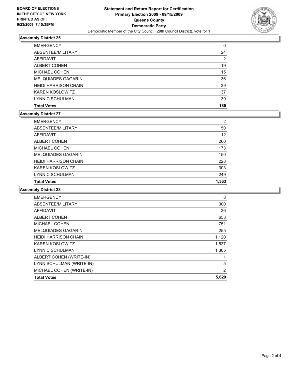

#### **Assembly District 25**

| LYNN C SCHULMAN             | 39 |
|-----------------------------|----|
| <b>KAREN KOSLOWITZ</b>      | 37 |
| <b>HEIDI HARRISON CHAIN</b> | 39 |
| <b>MELQUIADES GAGARIN</b>   | 36 |
| <b>MICHAEL COHEN</b>        | 15 |
| <b>ALBERT COHEN</b>         | 19 |
| AFFIDAVIT                   | 2  |
| ABSENTEE/MILITARY           | 24 |
| <b>EMERGENCY</b>            | 0  |

#### **Assembly District 27**

| <b>EMERGENCY</b>            | 2     |
|-----------------------------|-------|
| ABSENTEE/MILITARY           | 50    |
| AFFIDAVIT                   | 12    |
| <b>ALBERT COHEN</b>         | 260   |
| <b>MICHAEL COHEN</b>        | 173   |
| <b>MELQUIADES GAGARIN</b>   | 150   |
| <b>HEIDI HARRISON CHAIN</b> | 228   |
| <b>KAREN KOSLOWITZ</b>      | 303   |
| LYNN C SCHULMAN             | 249   |
| <b>Total Votes</b>          | 1.363 |

#### **Assembly District 28**

| <b>Total Votes</b>          | 5,629          |
|-----------------------------|----------------|
| MICHAEL COHEN (WRITE-IN)    | $\overline{2}$ |
| LYNN SCHULMAN (WRITE-IN)    | 5              |
| ALBERT COHEN (WRITE-IN)     | 1              |
| LYNN C SCHULMAN             | 1,305          |
| <b>KAREN KOSLOWITZ</b>      | 1,537          |
| <b>HEIDI HARRISON CHAIN</b> | 1,120          |
| <b>MELQUIADES GAGARIN</b>   | 255            |
| <b>MICHAEL COHEN</b>        | 751            |
| <b>ALBERT COHEN</b>         | 653            |
| <b>AFFIDAVIT</b>            | 36             |
| ABSENTEE/MILITARY           | 300            |
| <b>EMERGENCY</b>            | 8              |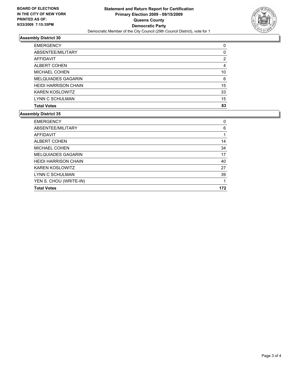

### **Assembly District 30**

| <b>EMERGENCY</b>            | 0  |
|-----------------------------|----|
| ABSENTEE/MILITARY           | 0  |
| <b>AFFIDAVIT</b>            | 2  |
| <b>ALBERT COHEN</b>         | 4  |
| <b>MICHAEL COHEN</b>        | 10 |
| <b>MELQUIADES GAGARIN</b>   | 6  |
| <b>HEIDI HARRISON CHAIN</b> | 15 |
| <b>KAREN KOSLOWITZ</b>      | 33 |
| LYNN C SCHULMAN             | 15 |
| <b>Total Votes</b>          | 83 |

## **Assembly District 35**

| <b>Total Votes</b>          | 172 |
|-----------------------------|-----|
| YEN S. CHOU (WRITE-IN)      | 1   |
| LYNN C SCHULMAN             | 39  |
| <b>KAREN KOSLOWITZ</b>      | 27  |
| <b>HEIDI HARRISON CHAIN</b> | 40  |
| <b>MELQUIADES GAGARIN</b>   | 17  |
| <b>MICHAEL COHEN</b>        | 34  |
| <b>ALBERT COHEN</b>         | 14  |
| AFFIDAVIT                   |     |
| ABSENTEE/MILITARY           | 6   |
| <b>EMERGENCY</b>            | 0   |